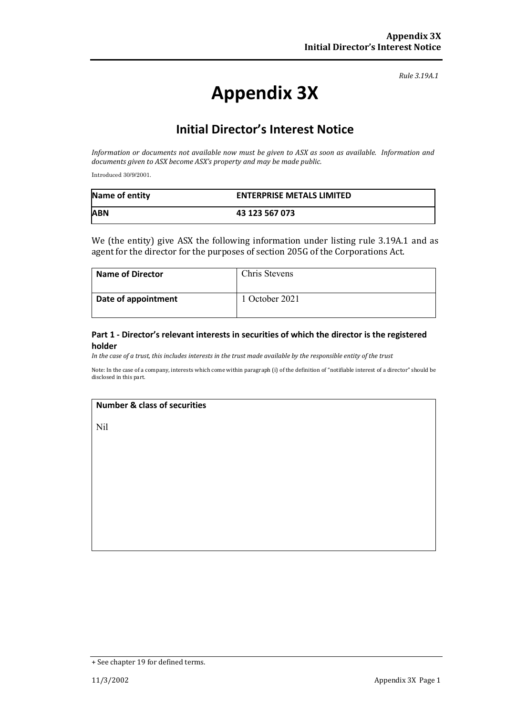*Rule 3.19A.1*

# **Appendix 3X**

## **Initial Director's Interest Notice**

*Information or documents not available now must be given to ASX as soon as available. Information and documents given to ASX become ASX's property and may be made public.*

Introduced 30/9/2001.

| Name of entity | <b>ENTERPRISE METALS LIMITED</b> |
|----------------|----------------------------------|
| <b>ABN</b>     | 43 123 567 073                   |

We (the entity) give ASX the following information under listing rule 3.19A.1 and as agent for the director for the purposes of section 205G of the Corporations Act.

| <b>Name of Director</b> | Chris Stevens  |
|-------------------------|----------------|
| Date of appointment     | 1 October 2021 |

#### **Part 1 - Director's relevant interests in securities of which the director is the registered holder**

*In the case of a trust, this includes interests in the trust made available by the responsible entity of the trust*

Note: In the case of a company, interests which come within paragraph (i) of the definition of "notifiable interest of a director" should be disclosed in this part.

#### **Number & class of securities**

Nil

<sup>+</sup> See chapter 19 for defined terms.